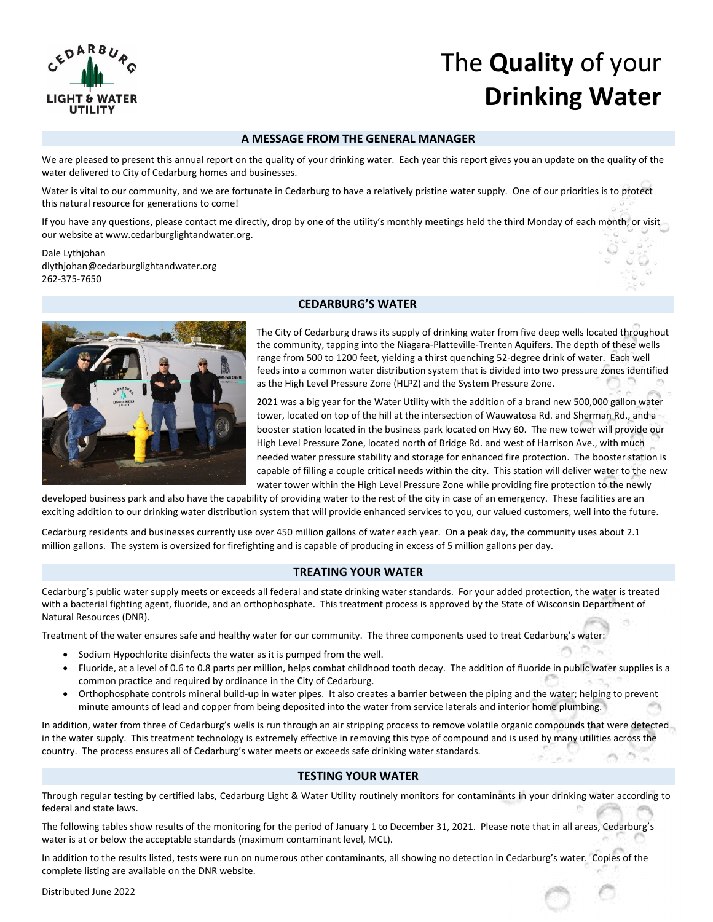

# The **Quality** of your **Drinking Water**

## **A MESSAGE FROM THE GENERAL MANAGER**

We are pleased to present this annual report on the quality of your drinking water. Each year this report gives you an update on the quality of the water delivered to City of Cedarburg homes and businesses.

Water is vital to our community, and we are fortunate in Cedarburg to have a relatively pristine water supply. One of our priorities is to protect this natural resource for generations to come!

If you have any questions, please contact me directly, drop by one of the utility's monthly meetings held the third Monday of each month, or visit our website at www.cedarburglightandwater.org.

Dale Lythjohan dlythjohan@cedarburglightandwater.org 262‐375‐7650



## **CEDARBURG'S WATER**

The City of Cedarburg draws its supply of drinking water from five deep wells located throughout the community, tapping into the Niagara‐Platteville‐Trenten Aquifers. The depth of these wells range from 500 to 1200 feet, yielding a thirst quenching 52‐degree drink of water. Each well feeds into a common water distribution system that is divided into two pressure zones identified as the High Level Pressure Zone (HLPZ) and the System Pressure Zone.

2021 was a big year for the Water Utility with the addition of a brand new 500,000 gallon water tower, located on top of the hill at the intersection of Wauwatosa Rd. and Sherman Rd., and a booster station located in the business park located on Hwy 60. The new tower will provide our High Level Pressure Zone, located north of Bridge Rd. and west of Harrison Ave., with much needed water pressure stability and storage for enhanced fire protection. The booster station is capable of filling a couple critical needs within the city. This station will deliver water to the new water tower within the High Level Pressure Zone while providing fire protection to the newly

developed business park and also have the capability of providing water to the rest of the city in case of an emergency. These facilities are an exciting addition to our drinking water distribution system that will provide enhanced services to you, our valued customers, well into the future.

Cedarburg residents and businesses currently use over 450 million gallons of water each year. On a peak day, the community uses about 2.1 million gallons. The system is oversized for firefighting and is capable of producing in excess of 5 million gallons per day.

# **TREATING YOUR WATER**

Cedarburg's public water supply meets or exceeds all federal and state drinking water standards. For your added protection, the water is treated with a bacterial fighting agent, fluoride, and an orthophosphate. This treatment process is approved by the State of Wisconsin Department of Natural Resources (DNR).

Treatment of the water ensures safe and healthy water for our community. The three components used to treat Cedarburg's water:

- Sodium Hypochlorite disinfects the water as it is pumped from the well.
- Fluoride, at a level of 0.6 to 0.8 parts per million, helps combat childhood tooth decay. The addition of fluoride in public water supplies is a common practice and required by ordinance in the City of Cedarburg.
- Orthophosphate controls mineral build‐up in water pipes. It also creates a barrier between the piping and the water; helping to prevent minute amounts of lead and copper from being deposited into the water from service laterals and interior home plumbing.

In addition, water from three of Cedarburg's wells is run through an air stripping process to remove volatile organic compounds that were detected in the water supply. This treatment technology is extremely effective in removing this type of compound and is used by many utilities across the country. The process ensures all of Cedarburg's water meets or exceeds safe drinking water standards.

#### **TESTING YOUR WATER**

Through regular testing by certified labs, Cedarburg Light & Water Utility routinely monitors for contaminants in your drinking water according to federal and state laws.

The following tables show results of the monitoring for the period of January 1 to December 31, 2021. Please note that in all areas, Cedarburg's water is at or below the acceptable standards (maximum contaminant level, MCL).

In addition to the results listed, tests were run on numerous other contaminants, all showing no detection in Cedarburg's water. Copies of the complete listing are available on the DNR website.

Distributed June 2022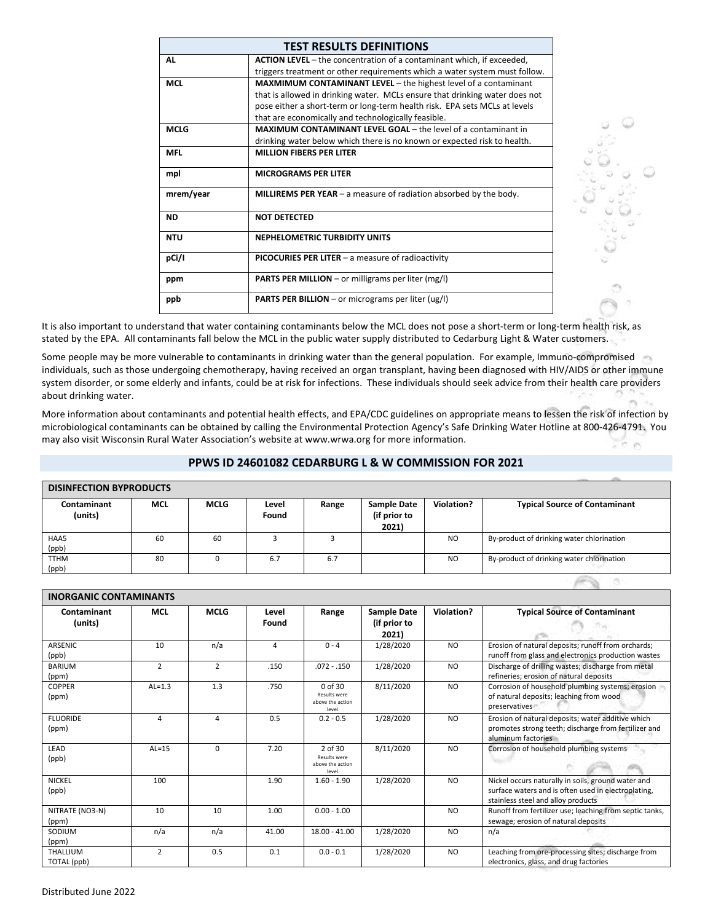|             | <b>TEST RESULTS DEFINITIONS</b>                                              |
|-------------|------------------------------------------------------------------------------|
| AL          | <b>ACTION LEVEL</b> – the concentration of a contaminant which, if exceeded, |
|             | triggers treatment or other requirements which a water system must follow.   |
| <b>MCL</b>  | <b>MAXMIMUM CONTAMINANT LEVEL</b> – the highest level of a contaminant       |
|             | that is allowed in drinking water. MCLs ensure that drinking water does not  |
|             | pose either a short-term or long-term health risk. EPA sets MCLs at levels   |
|             | that are economically and technologically feasible.                          |
| <b>MCLG</b> | <b>MAXIMUM CONTAMINANT LEVEL GOAL</b> – the level of a contaminant in        |
|             | drinking water below which there is no known or expected risk to health.     |
| <b>MFL</b>  | <b>MILLION FIBERS PER LITER</b>                                              |
| mpl         | <b>MICROGRAMS PER LITER</b>                                                  |
| mrem/year   | <b>MILLIREMS PER YEAR</b> $-$ a measure of radiation absorbed by the body.   |
| <b>ND</b>   | <b>NOT DETECTED</b>                                                          |
| <b>NTU</b>  | <b>NEPHELOMETRIC TURBIDITY UNITS</b>                                         |
| pCi/I       | PICOCURIES PER LITER - a measure of radioactivity                            |
| ppm         | <b>PARTS PER MILLION</b> – or milligrams per liter (mg/l)                    |
| ppb         | <b>PARTS PER BILLION</b> – or micrograms per liter (ug/l)                    |



It is also important to understand that water containing contaminants below the MCL does not pose a short-term or long-term health risk, as stated by the EPA. All contaminants fall below the MCL in the public water supply distributed to Cedarburg Light & Water customers.

Some people may be more vulnerable to contaminants in drinking water than the general population. For example, Immuno-compromised individuals, such as those undergoing chemotherapy, having received an organ transplant, having been diagnosed with HIV/AIDS or other immune system disorder, or some elderly and infants, could be at risk for infections. These individuals should seek advice from their health care providers about drinking water.

More information about contaminants and potential health effects, and EPA/CDC guidelines on appropriate means to lessen the risk of infection by microbiological contaminants can be obtained by calling the Environmental Protection Agency's Safe Drinking Water Hotline at 800‐426‐4791. You may also visit Wisconsin Rural Water Association's website at www.wrwa.org for more information.

# **PPWS ID 24601082 CEDARBURG L & W COMMISSION FOR 2021**

| <b>DISINFECTION BYPRODUCTS</b> |            |             |                |       |                                             |                |                                           |  |  |
|--------------------------------|------------|-------------|----------------|-------|---------------------------------------------|----------------|-------------------------------------------|--|--|
| <b>Contaminant</b><br>(units)  | <b>MCL</b> | <b>MCLG</b> | Level<br>Found | Range | <b>Sample Date</b><br>(if prior to<br>2021) | Violation?     | <b>Typical Source of Contaminant</b>      |  |  |
| HAA5<br>(ppb)                  | 60         | 60          |                |       |                                             | N <sub>O</sub> | By-product of drinking water chlorination |  |  |
| <b>TTHM</b><br>(ppb)           | 80         |             | 6.7            | 6.7   |                                             | N <sub>O</sub> | By-product of drinking water chlorination |  |  |

| <b>INORGANIC CONTAMINANTS</b> |                |                |                |                                                      |                                             |                |                                                                                                                                                 |  |
|-------------------------------|----------------|----------------|----------------|------------------------------------------------------|---------------------------------------------|----------------|-------------------------------------------------------------------------------------------------------------------------------------------------|--|
| Contaminant<br>(units)        | <b>MCL</b>     | <b>MCLG</b>    | Level<br>Found | Range                                                | <b>Sample Date</b><br>(if prior to<br>2021) | Violation?     | <b>Typical Source of Contaminant</b>                                                                                                            |  |
| <b>ARSENIC</b><br>(ppb)       | 10             | n/a            | 4              | $0 - 4$                                              | 1/28/2020                                   | N <sub>O</sub> | Erosion of natural deposits; runoff from orchards;<br>runoff from glass and electronics production wastes                                       |  |
| <b>BARIUM</b><br>(ppm)        | $\overline{2}$ | $\overline{2}$ | .150           | $.072 - .150$                                        | 1/28/2020                                   | <b>NO</b>      | Discharge of drilling wastes; discharge from metal<br>refineries; erosion of natural deposits                                                   |  |
| <b>COPPER</b><br>(ppm)        | $AL=1.3$       | 1.3            | .750           | 0 of 30<br>Results were<br>above the action<br>level | 8/11/2020                                   | <b>NO</b>      | Corrosion of household plumbing systems; erosion<br>of natural deposits; leaching from wood<br>preservatives                                    |  |
| <b>FLUORIDE</b><br>(ppm)      | 4              | 4              | 0.5            | $0.2 - 0.5$                                          | 1/28/2020                                   | <b>NO</b>      | Erosion of natural deposits; water additive which<br>promotes strong teeth; discharge from fertilizer and<br>aluminum factories                 |  |
| LEAD<br>(ppb)                 | $AL=15$        | $\Omega$       | 7.20           | 2 of 30<br>Results were<br>above the action<br>level | 8/11/2020                                   | <b>NO</b>      | Corrosion of household plumbing systems                                                                                                         |  |
| <b>NICKEL</b><br>(ppb)        | 100            |                | 1.90           | $1.60 - 1.90$                                        | 1/28/2020                                   | <b>NO</b>      | Nickel occurs naturally in soils, ground water and<br>surface waters and is often used in electroplating,<br>stainless steel and alloy products |  |
| NITRATE (NO3-N)<br>(ppm)      | 10             | 10             | 1.00           | $0.00 - 1.00$                                        |                                             | <b>NO</b>      | Runoff from fertilizer use; leaching from septic tanks,<br>sewage; erosion of natural deposits                                                  |  |
| SODIUM<br>(ppm)               | n/a            | n/a            | 41.00          | $18.00 - 41.00$                                      | 1/28/2020                                   | <b>NO</b>      | n/a                                                                                                                                             |  |
| THALLIUM<br>TOTAL (ppb)       | $\overline{2}$ | 0.5            | 0.1            | $0.0 - 0.1$                                          | 1/28/2020                                   | <b>NO</b>      | Leaching from ore-processing sites; discharge from<br>electronics, glass, and drug factories                                                    |  |